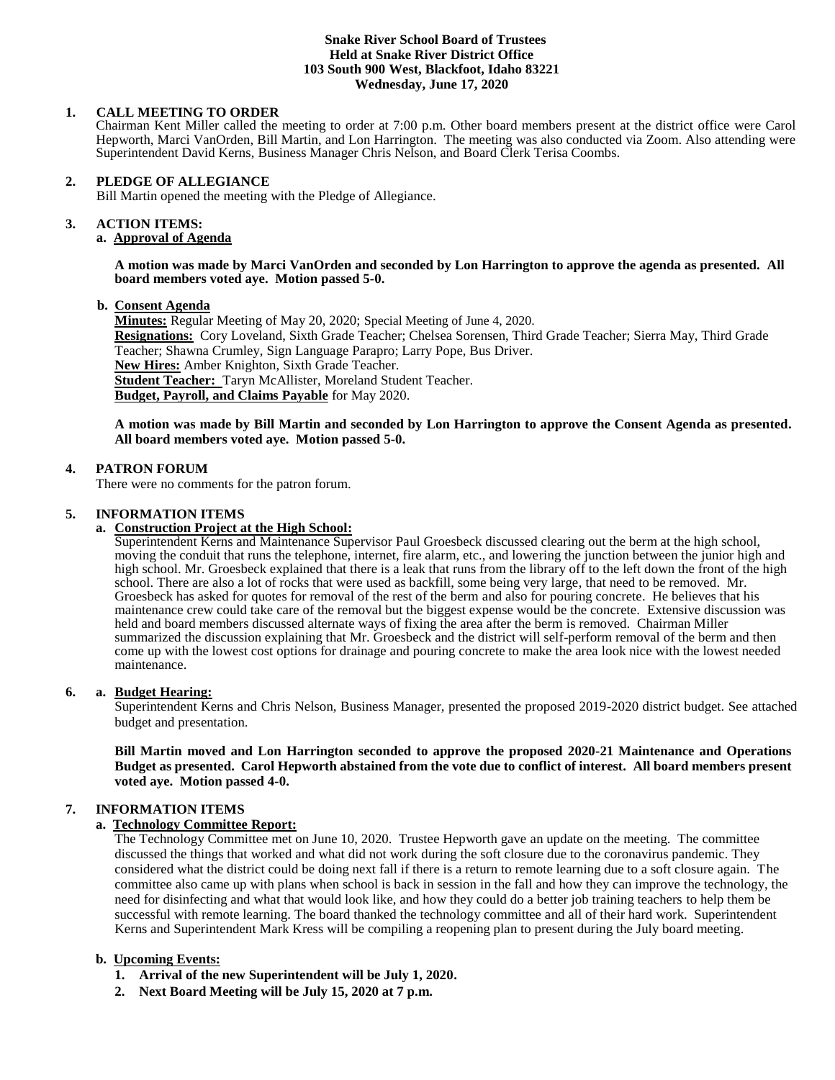#### **Snake River School Board of Trustees Held at Snake River District Office 103 South 900 West, Blackfoot, Idaho 83221 Wednesday, June 17, 2020**

## **1. CALL MEETING TO ORDER**

Chairman Kent Miller called the meeting to order at 7:00 p.m. Other board members present at the district office were Carol Hepworth, Marci VanOrden, Bill Martin, and Lon Harrington. The meeting was also conducted via Zoom. Also attending were Superintendent David Kerns, Business Manager Chris Nelson, and Board Clerk Terisa Coombs.

### **2. PLEDGE OF ALLEGIANCE**

Bill Martin opened the meeting with the Pledge of Allegiance.

#### 3. **3. ACTION ITEMS:**

# **a. Approval of Agenda**

#### **A motion was made by Marci VanOrden and seconded by Lon Harrington to approve the agenda as presented. All board members voted aye. Motion passed 5-0.**

## **b. Consent Agenda**

**Minutes:** Regular Meeting of May 20, 2020; Special Meeting of June 4, 2020. **Resignations:** Cory Loveland, Sixth Grade Teacher; Chelsea Sorensen, Third Grade Teacher; Sierra May, Third Grade Teacher; Shawna Crumley, Sign Language Parapro; Larry Pope, Bus Driver. **New Hires:** Amber Knighton, Sixth Grade Teacher. **Student Teacher:** Taryn McAllister, Moreland Student Teacher. **Budget, Payroll, and Claims Payable** for May 2020.

## **A motion was made by Bill Martin and seconded by Lon Harrington to approve the Consent Agenda as presented. All board members voted aye. Motion passed 5-0.**

## **4. PATRON FORUM**

There were no comments for the patron forum.

## **5. INFORMATION ITEMS**

## **a. Construction Project at the High School:**

Superintendent Kerns and Maintenance Supervisor Paul Groesbeck discussed clearing out the berm at the high school, moving the conduit that runs the telephone, internet, fire alarm, etc., and lowering the junction between the junior high and high school. Mr. Groesbeck explained that there is a leak that runs from the library off to the left down the front of the high school. There are also a lot of rocks that were used as backfill, some being very large, that need to be removed. Mr. Groesbeck has asked for quotes for removal of the rest of the berm and also for pouring concrete. He believes that his maintenance crew could take care of the removal but the biggest expense would be the concrete. Extensive discussion was held and board members discussed alternate ways of fixing the area after the berm is removed. Chairman Miller summarized the discussion explaining that Mr. Groesbeck and the district will self-perform removal of the berm and then come up with the lowest cost options for drainage and pouring concrete to make the area look nice with the lowest needed maintenance.

### **6. a. Budget Hearing:**

Superintendent Kerns and Chris Nelson, Business Manager, presented the proposed 2019-2020 district budget. See attached budget and presentation.

**Bill Martin moved and Lon Harrington seconded to approve the proposed 2020-21 Maintenance and Operations Budget as presented. Carol Hepworth abstained from the vote due to conflict of interest. All board members present voted aye. Motion passed 4-0.** 

## **7. INFORMATION ITEMS**

## **a. Technology Committee Report:**

The Technology Committee met on June 10, 2020. Trustee Hepworth gave an update on the meeting. The committee discussed the things that worked and what did not work during the soft closure due to the coronavirus pandemic. They considered what the district could be doing next fall if there is a return to remote learning due to a soft closure again. The committee also came up with plans when school is back in session in the fall and how they can improve the technology, the need for disinfecting and what that would look like, and how they could do a better job training teachers to help them be successful with remote learning. The board thanked the technology committee and all of their hard work. Superintendent Kerns and Superintendent Mark Kress will be compiling a reopening plan to present during the July board meeting.

## **b. Upcoming Events:**

- **1. Arrival of the new Superintendent will be July 1, 2020.**
- **2. Next Board Meeting will be July 15, 2020 at 7 p.m.**